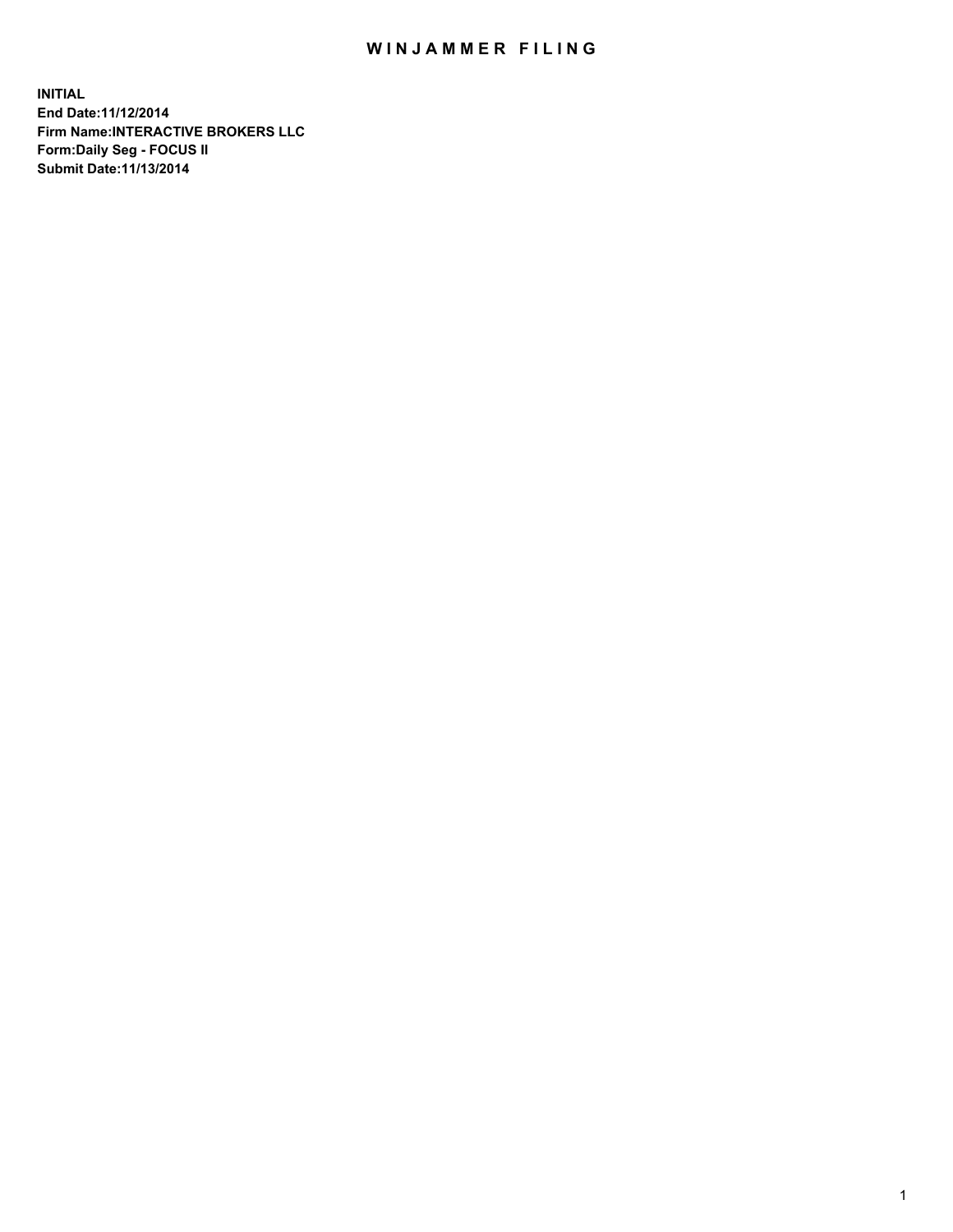## WIN JAMMER FILING

**INITIAL End Date:11/12/2014 Firm Name:INTERACTIVE BROKERS LLC Form:Daily Seg - FOCUS II Submit Date:11/13/2014**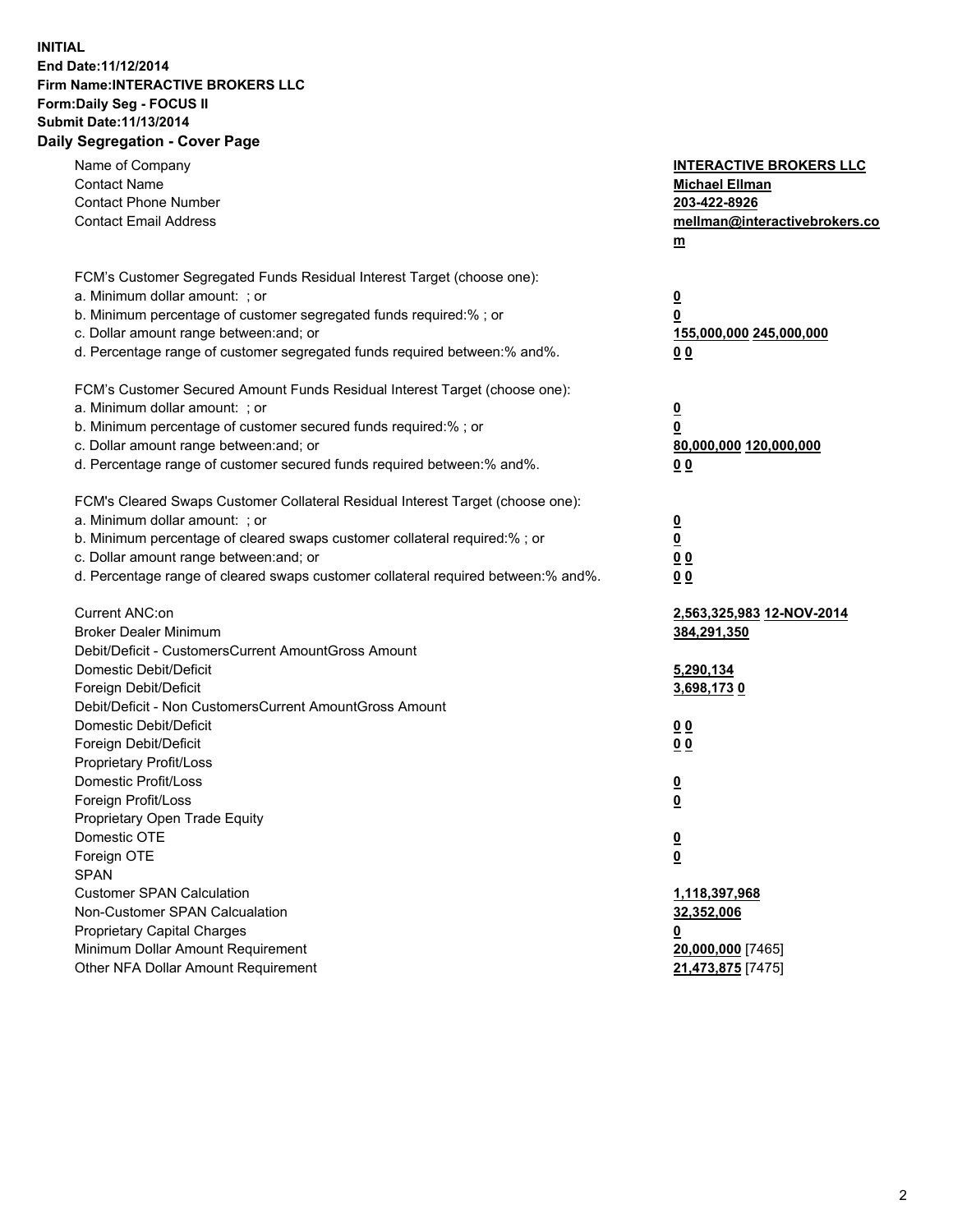## **INITIAL End Date:11/12/2014 Firm Name:INTERACTIVE BROKERS LLC Form:Daily Seg - FOCUS II Submit Date:11/13/2014 Daily Segregation - Cover Page**

| FCM's Customer Segregated Funds Residual Interest Target (choose one):<br>a. Minimum dollar amount: ; or<br>$\overline{\mathbf{0}}$<br>b. Minimum percentage of customer segregated funds required:% ; or<br>0<br>c. Dollar amount range between: and; or<br>155,000,000 245,000,000<br>d. Percentage range of customer segregated funds required between:% and%.<br>0 <sub>0</sub><br>FCM's Customer Secured Amount Funds Residual Interest Target (choose one):<br>a. Minimum dollar amount: ; or<br>$\overline{\mathbf{0}}$<br>b. Minimum percentage of customer secured funds required:% ; or<br>0<br>c. Dollar amount range between: and; or<br>80,000,000 120,000,000<br>d. Percentage range of customer secured funds required between:% and%.<br>0 <sub>0</sub><br>FCM's Cleared Swaps Customer Collateral Residual Interest Target (choose one):<br>a. Minimum dollar amount: ; or<br>$\overline{\mathbf{0}}$<br>b. Minimum percentage of cleared swaps customer collateral required:% ; or<br>$\underline{\mathbf{0}}$<br>c. Dollar amount range between: and; or<br>0 <sub>0</sub><br>d. Percentage range of cleared swaps customer collateral required between:% and%.<br>0 <sub>0</sub><br>Current ANC:on<br>2,563,325,983 12-NOV-2014<br><b>Broker Dealer Minimum</b><br>384,291,350<br>Debit/Deficit - CustomersCurrent AmountGross Amount<br>Domestic Debit/Deficit<br>5,290,134<br>Foreign Debit/Deficit<br>3,698,1730<br>Debit/Deficit - Non CustomersCurrent AmountGross Amount<br>Domestic Debit/Deficit<br>0 <sub>0</sub><br>Foreign Debit/Deficit<br>0 <sub>0</sub><br>Proprietary Profit/Loss<br>Domestic Profit/Loss<br>$\overline{\mathbf{0}}$<br>$\overline{\mathbf{0}}$<br>Foreign Profit/Loss<br>Proprietary Open Trade Equity<br>Domestic OTE<br>$\underline{\mathbf{0}}$<br>Foreign OTE<br><u>0</u><br><b>SPAN</b><br><b>Customer SPAN Calculation</b><br>1,118,397,968<br>Non-Customer SPAN Calcualation<br>32,352,006<br><b>Proprietary Capital Charges</b><br><u>0</u><br>Minimum Dollar Amount Requirement<br>20,000,000 [7465]<br>Other NFA Dollar Amount Requirement<br>21,473,875 [7475] | Name of Company<br><b>Contact Name</b><br><b>Contact Phone Number</b><br><b>Contact Email Address</b> | <b>INTERACTIVE BROKERS LLC</b><br><b>Michael Ellman</b><br>203-422-8926<br>mellman@interactivebrokers.co<br>$m$ |
|-------------------------------------------------------------------------------------------------------------------------------------------------------------------------------------------------------------------------------------------------------------------------------------------------------------------------------------------------------------------------------------------------------------------------------------------------------------------------------------------------------------------------------------------------------------------------------------------------------------------------------------------------------------------------------------------------------------------------------------------------------------------------------------------------------------------------------------------------------------------------------------------------------------------------------------------------------------------------------------------------------------------------------------------------------------------------------------------------------------------------------------------------------------------------------------------------------------------------------------------------------------------------------------------------------------------------------------------------------------------------------------------------------------------------------------------------------------------------------------------------------------------------------------------------------------------------------------------------------------------------------------------------------------------------------------------------------------------------------------------------------------------------------------------------------------------------------------------------------------------------------------------------------------------------------------------------------------------------------------------------------------------------------------------------------------------------------------------------------------------------------|-------------------------------------------------------------------------------------------------------|-----------------------------------------------------------------------------------------------------------------|
|                                                                                                                                                                                                                                                                                                                                                                                                                                                                                                                                                                                                                                                                                                                                                                                                                                                                                                                                                                                                                                                                                                                                                                                                                                                                                                                                                                                                                                                                                                                                                                                                                                                                                                                                                                                                                                                                                                                                                                                                                                                                                                                               |                                                                                                       |                                                                                                                 |
|                                                                                                                                                                                                                                                                                                                                                                                                                                                                                                                                                                                                                                                                                                                                                                                                                                                                                                                                                                                                                                                                                                                                                                                                                                                                                                                                                                                                                                                                                                                                                                                                                                                                                                                                                                                                                                                                                                                                                                                                                                                                                                                               |                                                                                                       |                                                                                                                 |
|                                                                                                                                                                                                                                                                                                                                                                                                                                                                                                                                                                                                                                                                                                                                                                                                                                                                                                                                                                                                                                                                                                                                                                                                                                                                                                                                                                                                                                                                                                                                                                                                                                                                                                                                                                                                                                                                                                                                                                                                                                                                                                                               |                                                                                                       |                                                                                                                 |
|                                                                                                                                                                                                                                                                                                                                                                                                                                                                                                                                                                                                                                                                                                                                                                                                                                                                                                                                                                                                                                                                                                                                                                                                                                                                                                                                                                                                                                                                                                                                                                                                                                                                                                                                                                                                                                                                                                                                                                                                                                                                                                                               |                                                                                                       |                                                                                                                 |
|                                                                                                                                                                                                                                                                                                                                                                                                                                                                                                                                                                                                                                                                                                                                                                                                                                                                                                                                                                                                                                                                                                                                                                                                                                                                                                                                                                                                                                                                                                                                                                                                                                                                                                                                                                                                                                                                                                                                                                                                                                                                                                                               |                                                                                                       |                                                                                                                 |
|                                                                                                                                                                                                                                                                                                                                                                                                                                                                                                                                                                                                                                                                                                                                                                                                                                                                                                                                                                                                                                                                                                                                                                                                                                                                                                                                                                                                                                                                                                                                                                                                                                                                                                                                                                                                                                                                                                                                                                                                                                                                                                                               |                                                                                                       |                                                                                                                 |
|                                                                                                                                                                                                                                                                                                                                                                                                                                                                                                                                                                                                                                                                                                                                                                                                                                                                                                                                                                                                                                                                                                                                                                                                                                                                                                                                                                                                                                                                                                                                                                                                                                                                                                                                                                                                                                                                                                                                                                                                                                                                                                                               |                                                                                                       |                                                                                                                 |
|                                                                                                                                                                                                                                                                                                                                                                                                                                                                                                                                                                                                                                                                                                                                                                                                                                                                                                                                                                                                                                                                                                                                                                                                                                                                                                                                                                                                                                                                                                                                                                                                                                                                                                                                                                                                                                                                                                                                                                                                                                                                                                                               |                                                                                                       |                                                                                                                 |
|                                                                                                                                                                                                                                                                                                                                                                                                                                                                                                                                                                                                                                                                                                                                                                                                                                                                                                                                                                                                                                                                                                                                                                                                                                                                                                                                                                                                                                                                                                                                                                                                                                                                                                                                                                                                                                                                                                                                                                                                                                                                                                                               |                                                                                                       |                                                                                                                 |
|                                                                                                                                                                                                                                                                                                                                                                                                                                                                                                                                                                                                                                                                                                                                                                                                                                                                                                                                                                                                                                                                                                                                                                                                                                                                                                                                                                                                                                                                                                                                                                                                                                                                                                                                                                                                                                                                                                                                                                                                                                                                                                                               |                                                                                                       |                                                                                                                 |
|                                                                                                                                                                                                                                                                                                                                                                                                                                                                                                                                                                                                                                                                                                                                                                                                                                                                                                                                                                                                                                                                                                                                                                                                                                                                                                                                                                                                                                                                                                                                                                                                                                                                                                                                                                                                                                                                                                                                                                                                                                                                                                                               |                                                                                                       |                                                                                                                 |
|                                                                                                                                                                                                                                                                                                                                                                                                                                                                                                                                                                                                                                                                                                                                                                                                                                                                                                                                                                                                                                                                                                                                                                                                                                                                                                                                                                                                                                                                                                                                                                                                                                                                                                                                                                                                                                                                                                                                                                                                                                                                                                                               |                                                                                                       |                                                                                                                 |
|                                                                                                                                                                                                                                                                                                                                                                                                                                                                                                                                                                                                                                                                                                                                                                                                                                                                                                                                                                                                                                                                                                                                                                                                                                                                                                                                                                                                                                                                                                                                                                                                                                                                                                                                                                                                                                                                                                                                                                                                                                                                                                                               |                                                                                                       |                                                                                                                 |
|                                                                                                                                                                                                                                                                                                                                                                                                                                                                                                                                                                                                                                                                                                                                                                                                                                                                                                                                                                                                                                                                                                                                                                                                                                                                                                                                                                                                                                                                                                                                                                                                                                                                                                                                                                                                                                                                                                                                                                                                                                                                                                                               |                                                                                                       |                                                                                                                 |
|                                                                                                                                                                                                                                                                                                                                                                                                                                                                                                                                                                                                                                                                                                                                                                                                                                                                                                                                                                                                                                                                                                                                                                                                                                                                                                                                                                                                                                                                                                                                                                                                                                                                                                                                                                                                                                                                                                                                                                                                                                                                                                                               |                                                                                                       |                                                                                                                 |
|                                                                                                                                                                                                                                                                                                                                                                                                                                                                                                                                                                                                                                                                                                                                                                                                                                                                                                                                                                                                                                                                                                                                                                                                                                                                                                                                                                                                                                                                                                                                                                                                                                                                                                                                                                                                                                                                                                                                                                                                                                                                                                                               |                                                                                                       |                                                                                                                 |
|                                                                                                                                                                                                                                                                                                                                                                                                                                                                                                                                                                                                                                                                                                                                                                                                                                                                                                                                                                                                                                                                                                                                                                                                                                                                                                                                                                                                                                                                                                                                                                                                                                                                                                                                                                                                                                                                                                                                                                                                                                                                                                                               |                                                                                                       |                                                                                                                 |
|                                                                                                                                                                                                                                                                                                                                                                                                                                                                                                                                                                                                                                                                                                                                                                                                                                                                                                                                                                                                                                                                                                                                                                                                                                                                                                                                                                                                                                                                                                                                                                                                                                                                                                                                                                                                                                                                                                                                                                                                                                                                                                                               |                                                                                                       |                                                                                                                 |
|                                                                                                                                                                                                                                                                                                                                                                                                                                                                                                                                                                                                                                                                                                                                                                                                                                                                                                                                                                                                                                                                                                                                                                                                                                                                                                                                                                                                                                                                                                                                                                                                                                                                                                                                                                                                                                                                                                                                                                                                                                                                                                                               |                                                                                                       |                                                                                                                 |
|                                                                                                                                                                                                                                                                                                                                                                                                                                                                                                                                                                                                                                                                                                                                                                                                                                                                                                                                                                                                                                                                                                                                                                                                                                                                                                                                                                                                                                                                                                                                                                                                                                                                                                                                                                                                                                                                                                                                                                                                                                                                                                                               |                                                                                                       |                                                                                                                 |
|                                                                                                                                                                                                                                                                                                                                                                                                                                                                                                                                                                                                                                                                                                                                                                                                                                                                                                                                                                                                                                                                                                                                                                                                                                                                                                                                                                                                                                                                                                                                                                                                                                                                                                                                                                                                                                                                                                                                                                                                                                                                                                                               |                                                                                                       |                                                                                                                 |
|                                                                                                                                                                                                                                                                                                                                                                                                                                                                                                                                                                                                                                                                                                                                                                                                                                                                                                                                                                                                                                                                                                                                                                                                                                                                                                                                                                                                                                                                                                                                                                                                                                                                                                                                                                                                                                                                                                                                                                                                                                                                                                                               |                                                                                                       |                                                                                                                 |
|                                                                                                                                                                                                                                                                                                                                                                                                                                                                                                                                                                                                                                                                                                                                                                                                                                                                                                                                                                                                                                                                                                                                                                                                                                                                                                                                                                                                                                                                                                                                                                                                                                                                                                                                                                                                                                                                                                                                                                                                                                                                                                                               |                                                                                                       |                                                                                                                 |
|                                                                                                                                                                                                                                                                                                                                                                                                                                                                                                                                                                                                                                                                                                                                                                                                                                                                                                                                                                                                                                                                                                                                                                                                                                                                                                                                                                                                                                                                                                                                                                                                                                                                                                                                                                                                                                                                                                                                                                                                                                                                                                                               |                                                                                                       |                                                                                                                 |
|                                                                                                                                                                                                                                                                                                                                                                                                                                                                                                                                                                                                                                                                                                                                                                                                                                                                                                                                                                                                                                                                                                                                                                                                                                                                                                                                                                                                                                                                                                                                                                                                                                                                                                                                                                                                                                                                                                                                                                                                                                                                                                                               |                                                                                                       |                                                                                                                 |
|                                                                                                                                                                                                                                                                                                                                                                                                                                                                                                                                                                                                                                                                                                                                                                                                                                                                                                                                                                                                                                                                                                                                                                                                                                                                                                                                                                                                                                                                                                                                                                                                                                                                                                                                                                                                                                                                                                                                                                                                                                                                                                                               |                                                                                                       |                                                                                                                 |
|                                                                                                                                                                                                                                                                                                                                                                                                                                                                                                                                                                                                                                                                                                                                                                                                                                                                                                                                                                                                                                                                                                                                                                                                                                                                                                                                                                                                                                                                                                                                                                                                                                                                                                                                                                                                                                                                                                                                                                                                                                                                                                                               |                                                                                                       |                                                                                                                 |
|                                                                                                                                                                                                                                                                                                                                                                                                                                                                                                                                                                                                                                                                                                                                                                                                                                                                                                                                                                                                                                                                                                                                                                                                                                                                                                                                                                                                                                                                                                                                                                                                                                                                                                                                                                                                                                                                                                                                                                                                                                                                                                                               |                                                                                                       |                                                                                                                 |
|                                                                                                                                                                                                                                                                                                                                                                                                                                                                                                                                                                                                                                                                                                                                                                                                                                                                                                                                                                                                                                                                                                                                                                                                                                                                                                                                                                                                                                                                                                                                                                                                                                                                                                                                                                                                                                                                                                                                                                                                                                                                                                                               |                                                                                                       |                                                                                                                 |
|                                                                                                                                                                                                                                                                                                                                                                                                                                                                                                                                                                                                                                                                                                                                                                                                                                                                                                                                                                                                                                                                                                                                                                                                                                                                                                                                                                                                                                                                                                                                                                                                                                                                                                                                                                                                                                                                                                                                                                                                                                                                                                                               |                                                                                                       |                                                                                                                 |
|                                                                                                                                                                                                                                                                                                                                                                                                                                                                                                                                                                                                                                                                                                                                                                                                                                                                                                                                                                                                                                                                                                                                                                                                                                                                                                                                                                                                                                                                                                                                                                                                                                                                                                                                                                                                                                                                                                                                                                                                                                                                                                                               |                                                                                                       |                                                                                                                 |
|                                                                                                                                                                                                                                                                                                                                                                                                                                                                                                                                                                                                                                                                                                                                                                                                                                                                                                                                                                                                                                                                                                                                                                                                                                                                                                                                                                                                                                                                                                                                                                                                                                                                                                                                                                                                                                                                                                                                                                                                                                                                                                                               |                                                                                                       |                                                                                                                 |
|                                                                                                                                                                                                                                                                                                                                                                                                                                                                                                                                                                                                                                                                                                                                                                                                                                                                                                                                                                                                                                                                                                                                                                                                                                                                                                                                                                                                                                                                                                                                                                                                                                                                                                                                                                                                                                                                                                                                                                                                                                                                                                                               |                                                                                                       |                                                                                                                 |
|                                                                                                                                                                                                                                                                                                                                                                                                                                                                                                                                                                                                                                                                                                                                                                                                                                                                                                                                                                                                                                                                                                                                                                                                                                                                                                                                                                                                                                                                                                                                                                                                                                                                                                                                                                                                                                                                                                                                                                                                                                                                                                                               |                                                                                                       |                                                                                                                 |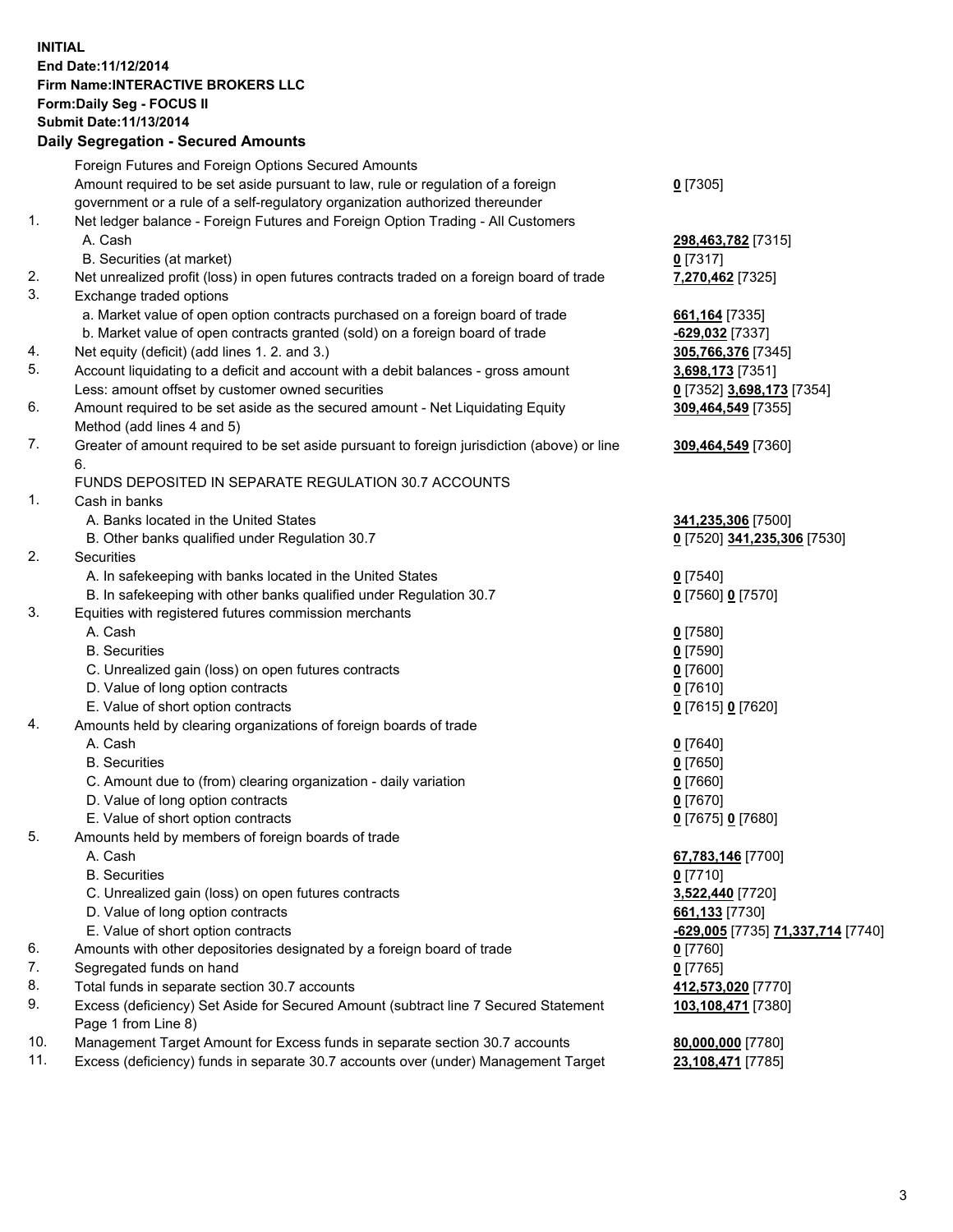## **INITIAL End Date:11/12/2014 Firm Name:INTERACTIVE BROKERS LLC Form:Daily Seg - FOCUS II Submit Date:11/13/2014 Daily Segregation - Secured Amounts**

|                | Daily Ocglegation - Occarea Anioants                                                                       |                                   |
|----------------|------------------------------------------------------------------------------------------------------------|-----------------------------------|
|                | Foreign Futures and Foreign Options Secured Amounts                                                        |                                   |
|                | Amount required to be set aside pursuant to law, rule or regulation of a foreign                           | $0$ [7305]                        |
|                | government or a rule of a self-regulatory organization authorized thereunder                               |                                   |
| 1.             | Net ledger balance - Foreign Futures and Foreign Option Trading - All Customers                            |                                   |
|                | A. Cash                                                                                                    | 298,463,782 [7315]                |
|                | B. Securities (at market)                                                                                  | $0$ [7317]                        |
| 2.             | Net unrealized profit (loss) in open futures contracts traded on a foreign board of trade                  | 7,270,462 [7325]                  |
| 3.             | Exchange traded options                                                                                    |                                   |
|                | a. Market value of open option contracts purchased on a foreign board of trade                             | 661, 164 [7335]                   |
|                | b. Market value of open contracts granted (sold) on a foreign board of trade                               | -629,032 [7337]                   |
| 4.             | Net equity (deficit) (add lines 1.2. and 3.)                                                               | 305,766,376 [7345]                |
| 5.             | Account liquidating to a deficit and account with a debit balances - gross amount                          | 3,698,173 [7351]                  |
|                | Less: amount offset by customer owned securities                                                           | 0 [7352] 3,698,173 [7354]         |
| 6.             | Amount required to be set aside as the secured amount - Net Liquidating Equity                             | 309,464,549 [7355]                |
|                | Method (add lines 4 and 5)                                                                                 |                                   |
| 7.             | Greater of amount required to be set aside pursuant to foreign jurisdiction (above) or line                | 309,464,549 [7360]                |
|                | 6.                                                                                                         |                                   |
|                | FUNDS DEPOSITED IN SEPARATE REGULATION 30.7 ACCOUNTS                                                       |                                   |
| $\mathbf{1}$ . | Cash in banks                                                                                              |                                   |
|                | A. Banks located in the United States                                                                      | 341,235,306 [7500]                |
|                | B. Other banks qualified under Regulation 30.7                                                             | 0 [7520] 341,235,306 [7530]       |
| 2.             | Securities                                                                                                 |                                   |
|                | A. In safekeeping with banks located in the United States                                                  | $0$ [7540]                        |
|                | B. In safekeeping with other banks qualified under Regulation 30.7                                         | 0 [7560] 0 [7570]                 |
| 3.             | Equities with registered futures commission merchants                                                      |                                   |
|                | A. Cash                                                                                                    | $0$ [7580]                        |
|                | <b>B.</b> Securities                                                                                       | $0$ [7590]                        |
|                | C. Unrealized gain (loss) on open futures contracts                                                        | $0$ [7600]                        |
|                | D. Value of long option contracts                                                                          | $0$ [7610]                        |
|                | E. Value of short option contracts                                                                         | 0 [7615] 0 [7620]                 |
| 4.             | Amounts held by clearing organizations of foreign boards of trade                                          |                                   |
|                | A. Cash                                                                                                    | $0$ [7640]                        |
|                | <b>B.</b> Securities                                                                                       | $0$ [7650]                        |
|                | C. Amount due to (from) clearing organization - daily variation                                            | $0$ [7660]                        |
|                | D. Value of long option contracts                                                                          | $0$ [7670]                        |
|                | E. Value of short option contracts                                                                         | 0 [7675] 0 [7680]                 |
| 5.             | Amounts held by members of foreign boards of trade                                                         |                                   |
|                | A. Cash                                                                                                    | 67,783,146 [7700]                 |
|                | <b>B.</b> Securities                                                                                       | $0$ [7710]                        |
|                | C. Unrealized gain (loss) on open futures contracts                                                        | 3,522,440 [7720]                  |
|                | D. Value of long option contracts                                                                          | 661,133 [7730]                    |
|                | E. Value of short option contracts                                                                         | -629,005 [7735] 71,337,714 [7740] |
| 6.             | Amounts with other depositories designated by a foreign board of trade                                     | 0 [7760]                          |
| 7.             | Segregated funds on hand                                                                                   | $0$ [7765]                        |
| 8.             | Total funds in separate section 30.7 accounts                                                              | 412,573,020 [7770]                |
| 9.             | Excess (deficiency) Set Aside for Secured Amount (subtract line 7 Secured Statement<br>Page 1 from Line 8) | 103,108,471 [7380]                |
| 10.            | Management Target Amount for Excess funds in separate section 30.7 accounts                                | 80,000,000 [7780]                 |
| 11.            | Excess (deficiency) funds in separate 30.7 accounts over (under) Management Target                         | 23,108,471 [7785]                 |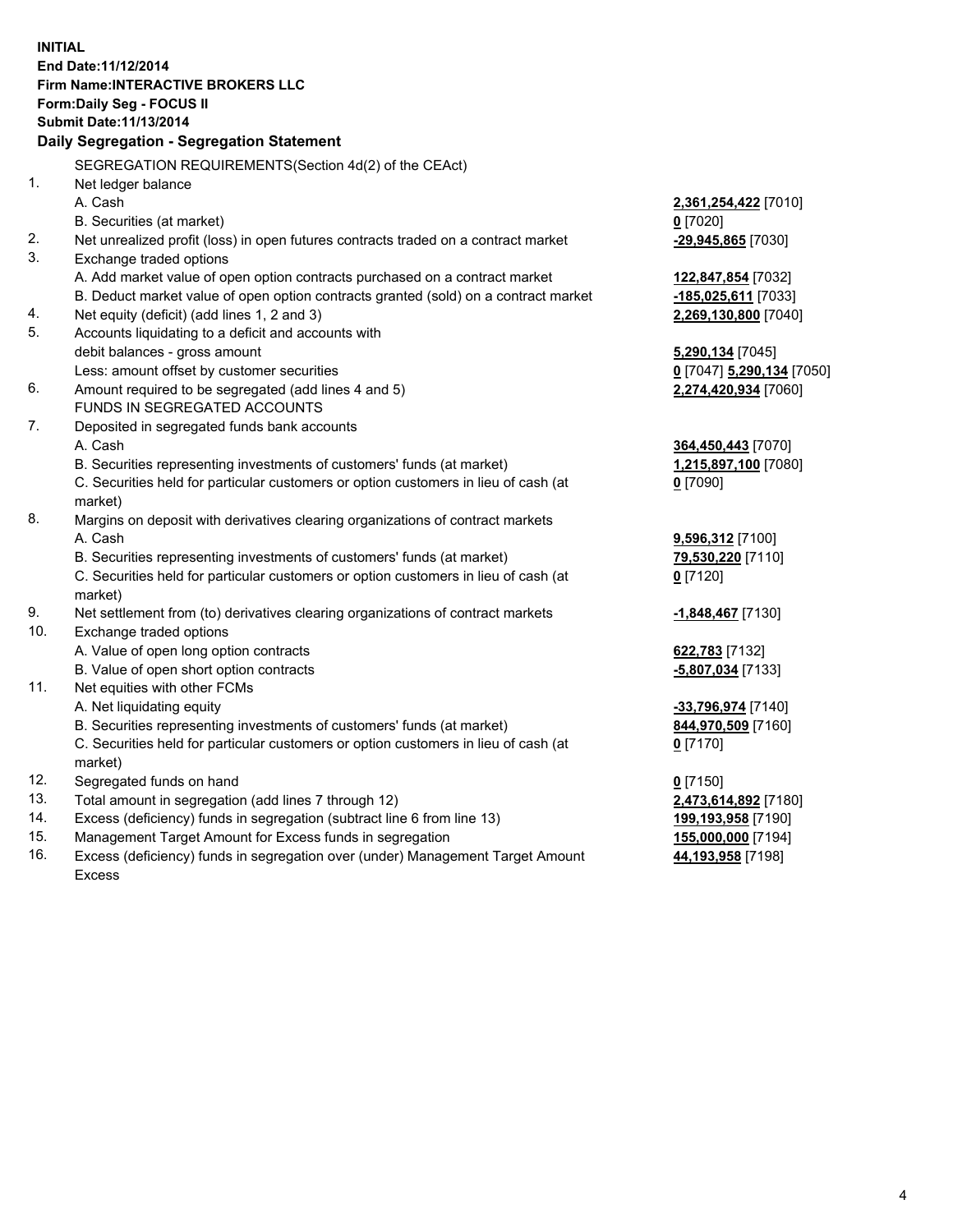**INITIAL End Date:11/12/2014 Firm Name:INTERACTIVE BROKERS LLC Form:Daily Seg - FOCUS II Submit Date:11/13/2014 Daily Segregation - Segregation Statement** SEGREGATION REQUIREMENTS(Section 4d(2) of the CEAct) 1. Net ledger balance A. Cash **2,361,254,422** [7010] B. Securities (at market) **0** [7020] 2. Net unrealized profit (loss) in open futures contracts traded on a contract market **-29,945,865** [7030] 3. Exchange traded options A. Add market value of open option contracts purchased on a contract market **122,847,854** [7032] B. Deduct market value of open option contracts granted (sold) on a contract market **-185,025,611** [7033] 4. Net equity (deficit) (add lines 1, 2 and 3) **2,269,130,800** [7040] 5. Accounts liquidating to a deficit and accounts with debit balances - gross amount **5,290,134** [7045] Less: amount offset by customer securities **0** [7047] **5,290,134** [7050] 6. Amount required to be segregated (add lines 4 and 5) **2,274,420,934** [7060] FUNDS IN SEGREGATED ACCOUNTS 7. Deposited in segregated funds bank accounts A. Cash **364,450,443** [7070] B. Securities representing investments of customers' funds (at market) **1,215,897,100** [7080] C. Securities held for particular customers or option customers in lieu of cash (at market) **0** [7090] 8. Margins on deposit with derivatives clearing organizations of contract markets A. Cash **9,596,312** [7100] B. Securities representing investments of customers' funds (at market) **79,530,220** [7110] C. Securities held for particular customers or option customers in lieu of cash (at market) **0** [7120] 9. Net settlement from (to) derivatives clearing organizations of contract markets **-1,848,467** [7130] 10. Exchange traded options A. Value of open long option contracts **622,783** [7132] B. Value of open short option contracts **-5,807,034** [7133] 11. Net equities with other FCMs A. Net liquidating equity **-33,796,974** [7140] B. Securities representing investments of customers' funds (at market) **844,970,509** [7160] C. Securities held for particular customers or option customers in lieu of cash (at market) **0** [7170] 12. Segregated funds on hand **0** [7150] 13. Total amount in segregation (add lines 7 through 12) **2,473,614,892** [7180] 14. Excess (deficiency) funds in segregation (subtract line 6 from line 13) **199,193,958** [7190] 15. Management Target Amount for Excess funds in segregation **155,000,000** [7194]

16. Excess (deficiency) funds in segregation over (under) Management Target Amount Excess

**44,193,958** [7198]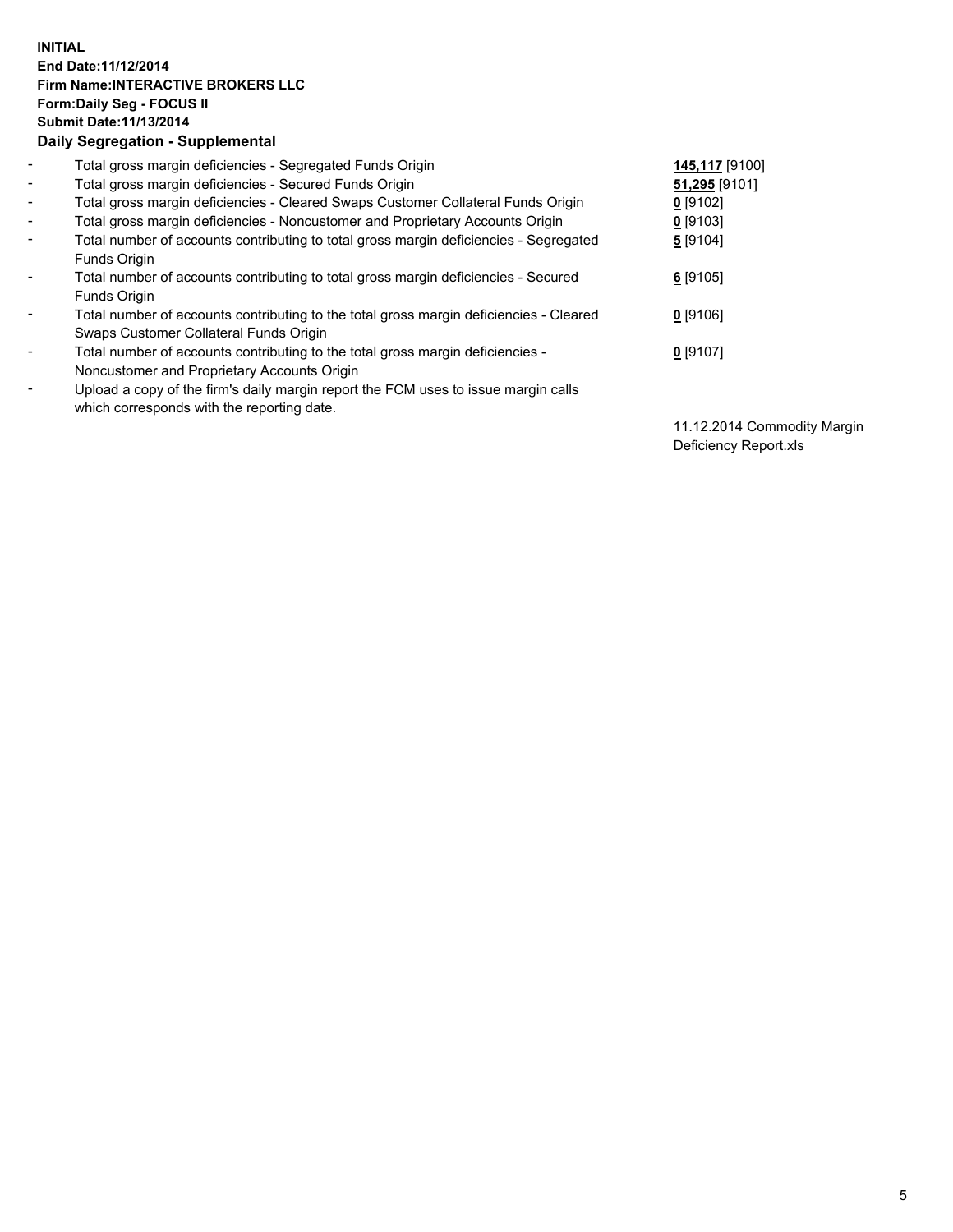## **INITIAL End Date:11/12/2014 Firm Name:INTERACTIVE BROKERS LLC Form:Daily Seg - FOCUS II Submit Date:11/13/2014 Daily Segregation - Supplemental**

| $\blacksquare$               | Total gross margin deficiencies - Segregated Funds Origin                              | 145,117 [9100] |
|------------------------------|----------------------------------------------------------------------------------------|----------------|
| $\sim$                       | Total gross margin deficiencies - Secured Funds Origin                                 | 51,295 [9101]  |
| $\blacksquare$               | Total gross margin deficiencies - Cleared Swaps Customer Collateral Funds Origin       | $0$ [9102]     |
| $\blacksquare$               | Total gross margin deficiencies - Noncustomer and Proprietary Accounts Origin          | $0$ [9103]     |
| $\blacksquare$               | Total number of accounts contributing to total gross margin deficiencies - Segregated  | 5 [9104]       |
|                              | <b>Funds Origin</b>                                                                    |                |
| $\blacksquare$               | Total number of accounts contributing to total gross margin deficiencies - Secured     | $6$ [9105]     |
|                              | Funds Origin                                                                           |                |
| $\qquad \qquad \blacksquare$ | Total number of accounts contributing to the total gross margin deficiencies - Cleared | $0$ [9106]     |
|                              | Swaps Customer Collateral Funds Origin                                                 |                |
| -                            | Total number of accounts contributing to the total gross margin deficiencies -         | $0$ [9107]     |
|                              | Noncustomer and Proprietary Accounts Origin                                            |                |
| -                            | Upload a copy of the firm's daily margin report the FCM uses to issue margin calls     |                |
|                              | which corresponds with the reporting date.                                             |                |

11.12.2014 Commodity Margin Deficiency Report.xls